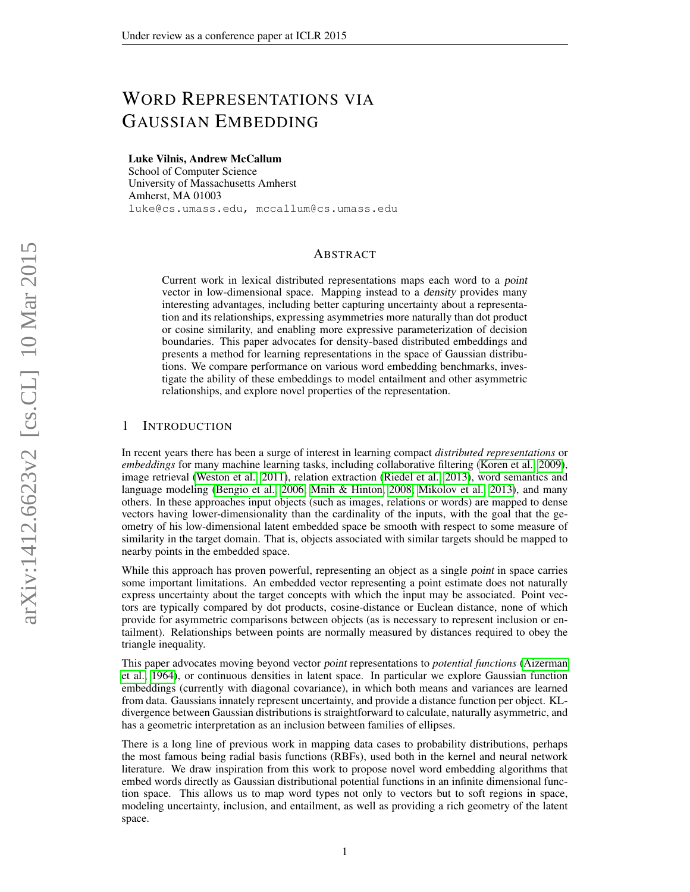# WORD REPRESENTATIONS VIA GAUSSIAN EMBEDDING

Luke Vilnis, Andrew McCallum

School of Computer Science University of Massachusetts Amherst Amherst, MA 01003 luke@cs.umass.edu, mccallum@cs.umass.edu

## ABSTRACT

Current work in lexical distributed representations maps each word to a point vector in low-dimensional space. Mapping instead to a density provides many interesting advantages, including better capturing uncertainty about a representation and its relationships, expressing asymmetries more naturally than dot product or cosine similarity, and enabling more expressive parameterization of decision boundaries. This paper advocates for density-based distributed embeddings and presents a method for learning representations in the space of Gaussian distributions. We compare performance on various word embedding benchmarks, investigate the ability of these embeddings to model entailment and other asymmetric relationships, and explore novel properties of the representation.

## 1 INTRODUCTION

In recent years there has been a surge of interest in learning compact *distributed representations* or *embeddings* for many machine learning tasks, including collaborative filtering [\(Koren et al., 2009\)](#page-10-0), image retrieval [\(Weston et al., 2011\)](#page-11-0), relation extraction [\(Riedel et al., 2013\)](#page-10-1), word semantics and language modeling [\(Bengio et al., 2006;](#page-9-0) [Mnih & Hinton, 2008;](#page-10-2) [Mikolov et al., 2013\)](#page-10-3), and many others. In these approaches input objects (such as images, relations or words) are mapped to dense vectors having lower-dimensionality than the cardinality of the inputs, with the goal that the geometry of his low-dimensional latent embedded space be smooth with respect to some measure of similarity in the target domain. That is, objects associated with similar targets should be mapped to nearby points in the embedded space.

While this approach has proven powerful, representing an object as a single *point* in space carries some important limitations. An embedded vector representing a point estimate does not naturally express uncertainty about the target concepts with which the input may be associated. Point vectors are typically compared by dot products, cosine-distance or Euclean distance, none of which provide for asymmetric comparisons between objects (as is necessary to represent inclusion or entailment). Relationships between points are normally measured by distances required to obey the triangle inequality.

This paper advocates moving beyond vector point representations to *potential functions* [\(Aizerman](#page-9-1) [et al., 1964\)](#page-9-1), or continuous densities in latent space. In particular we explore Gaussian function embeddings (currently with diagonal covariance), in which both means and variances are learned from data. Gaussians innately represent uncertainty, and provide a distance function per object. KLdivergence between Gaussian distributions is straightforward to calculate, naturally asymmetric, and has a geometric interpretation as an inclusion between families of ellipses.

There is a long line of previous work in mapping data cases to probability distributions, perhaps the most famous being radial basis functions (RBFs), used both in the kernel and neural network literature. We draw inspiration from this work to propose novel word embedding algorithms that embed words directly as Gaussian distributional potential functions in an infinite dimensional function space. This allows us to map word types not only to vectors but to soft regions in space, modeling uncertainty, inclusion, and entailment, as well as providing a rich geometry of the latent space.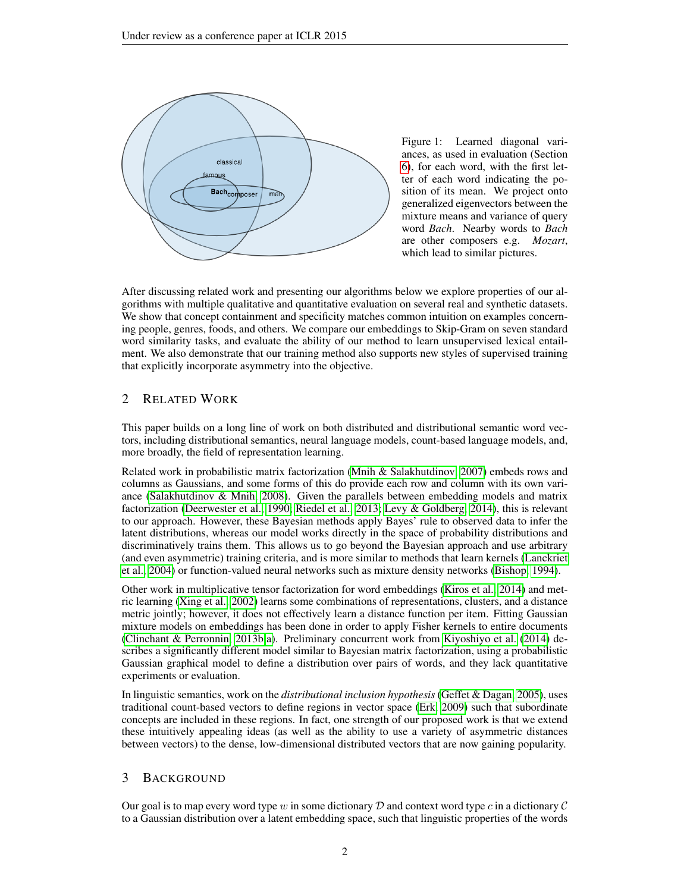<span id="page-1-0"></span>

Figure 1: Learned diagonal variances, as used in evaluation (Section [6\)](#page-5-0), for each word, with the first letter of each word indicating the position of its mean. We project onto generalized eigenvectors between the mixture means and variance of query word *Bach*. Nearby words to *Bach* are other composers e.g. *Mozart*, which lead to similar pictures.

After discussing related work and presenting our algorithms below we explore properties of our algorithms with multiple qualitative and quantitative evaluation on several real and synthetic datasets. We show that concept containment and specificity matches common intuition on examples concerning people, genres, foods, and others. We compare our embeddings to Skip-Gram on seven standard word similarity tasks, and evaluate the ability of our method to learn unsupervised lexical entailment. We also demonstrate that our training method also supports new styles of supervised training that explicitly incorporate asymmetry into the objective.

# 2 RELATED WORK

This paper builds on a long line of work on both distributed and distributional semantic word vectors, including distributional semantics, neural language models, count-based language models, and, more broadly, the field of representation learning.

Related work in probabilistic matrix factorization [\(Mnih & Salakhutdinov, 2007\)](#page-10-4) embeds rows and columns as Gaussians, and some forms of this do provide each row and column with its own variance [\(Salakhutdinov & Mnih, 2008\)](#page-10-5). Given the parallels between embedding models and matrix factorization [\(Deerwester et al., 1990;](#page-9-2) [Riedel et al., 2013;](#page-10-1) [Levy & Goldberg, 2014\)](#page-10-6), this is relevant to our approach. However, these Bayesian methods apply Bayes' rule to observed data to infer the latent distributions, whereas our model works directly in the space of probability distributions and discriminatively trains them. This allows us to go beyond the Bayesian approach and use arbitrary (and even asymmetric) training criteria, and is more similar to methods that learn kernels [\(Lanckriet](#page-10-7) [et al., 2004\)](#page-10-7) or function-valued neural networks such as mixture density networks [\(Bishop, 1994\)](#page-9-3).

Other work in multiplicative tensor factorization for word embeddings [\(Kiros et al., 2014\)](#page-10-8) and metric learning [\(Xing et al., 2002\)](#page-11-1) learns some combinations of representations, clusters, and a distance metric jointly; however, it does not effectively learn a distance function per item. Fitting Gaussian mixture models on embeddings has been done in order to apply Fisher kernels to entire documents [\(Clinchant & Perronnin, 2013b;](#page-9-4)[a\)](#page-9-5). Preliminary concurrent work from [Kiyoshiyo et al.](#page-10-9) [\(2014\)](#page-10-9) describes a significantly different model similar to Bayesian matrix factorization, using a probabilistic Gaussian graphical model to define a distribution over pairs of words, and they lack quantitative experiments or evaluation.

In linguistic semantics, work on the *distributional inclusion hypothesis* [\(Geffet & Dagan, 2005\)](#page-10-10), uses traditional count-based vectors to define regions in vector space [\(Erk, 2009\)](#page-9-6) such that subordinate concepts are included in these regions. In fact, one strength of our proposed work is that we extend these intuitively appealing ideas (as well as the ability to use a variety of asymmetric distances between vectors) to the dense, low-dimensional distributed vectors that are now gaining popularity.

# <span id="page-1-1"></span>3 BACKGROUND

Our goal is to map every word type w in some dictionary D and context word type c in a dictionary C to a Gaussian distribution over a latent embedding space, such that linguistic properties of the words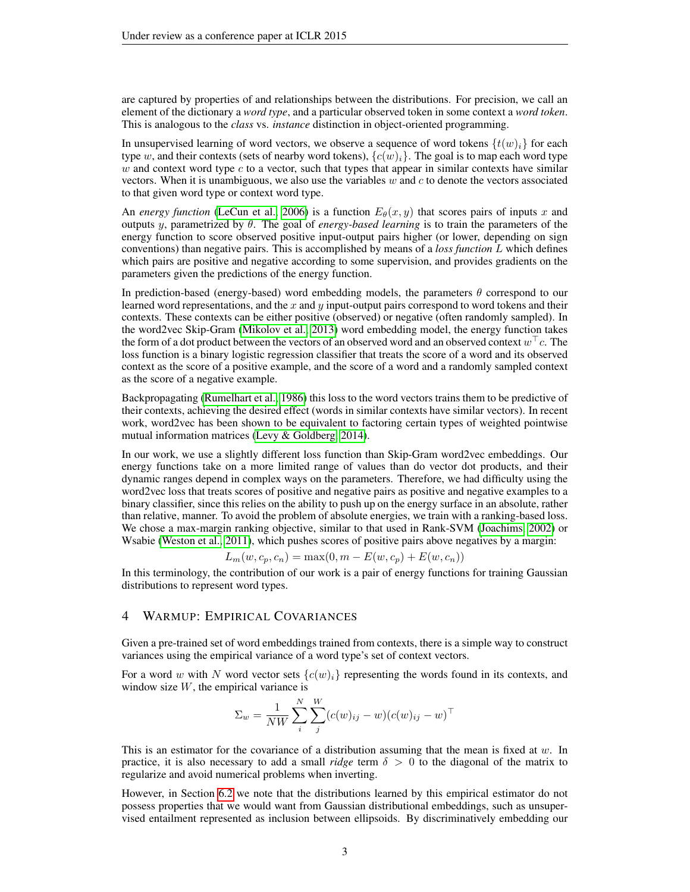are captured by properties of and relationships between the distributions. For precision, we call an element of the dictionary a *word type*, and a particular observed token in some context a *word token*. This is analogous to the *class* vs. *instance* distinction in object-oriented programming.

In unsupervised learning of word vectors, we observe a sequence of word tokens  $\{t(w)_i\}$  for each type w, and their contexts (sets of nearby word tokens),  $\{c(w)_i\}$ . The goal is to map each word type  $w$  and context word type  $c$  to a vector, such that types that appear in similar contexts have similar vectors. When it is unambiguous, we also use the variables  $w$  and  $c$  to denote the vectors associated to that given word type or context word type.

An *energy function* [\(LeCun et al., 2006\)](#page-10-11) is a function  $E_{\theta}(x, y)$  that scores pairs of inputs x and outputs y, parametrized by  $\theta$ . The goal of *energy-based learning* is to train the parameters of the energy function to score observed positive input-output pairs higher (or lower, depending on sign conventions) than negative pairs. This is accomplished by means of a *loss function* L which defines which pairs are positive and negative according to some supervision, and provides gradients on the parameters given the predictions of the energy function.

In prediction-based (energy-based) word embedding models, the parameters  $\theta$  correspond to our learned word representations, and the  $x$  and  $y$  input-output pairs correspond to word tokens and their contexts. These contexts can be either positive (observed) or negative (often randomly sampled). In the word2vec Skip-Gram [\(Mikolov et al., 2013\)](#page-10-3) word embedding model, the energy function takes the form of a dot product between the vectors of an observed word and an observed context  $w^\top c$ . The loss function is a binary logistic regression classifier that treats the score of a word and its observed context as the score of a positive example, and the score of a word and a randomly sampled context as the score of a negative example.

Backpropagating [\(Rumelhart et al., 1986\)](#page-10-12) this loss to the word vectors trains them to be predictive of their contexts, achieving the desired effect (words in similar contexts have similar vectors). In recent work, word2vec has been shown to be equivalent to factoring certain types of weighted pointwise mutual information matrices [\(Levy & Goldberg, 2014\)](#page-10-6).

In our work, we use a slightly different loss function than Skip-Gram word2vec embeddings. Our energy functions take on a more limited range of values than do vector dot products, and their dynamic ranges depend in complex ways on the parameters. Therefore, we had difficulty using the word2vec loss that treats scores of positive and negative pairs as positive and negative examples to a binary classifier, since this relies on the ability to push up on the energy surface in an absolute, rather than relative, manner. To avoid the problem of absolute energies, we train with a ranking-based loss. We chose a max-margin ranking objective, similar to that used in Rank-SVM [\(Joachims, 2002\)](#page-10-13) or Wsabie [\(Weston et al., 2011\)](#page-11-0), which pushes scores of positive pairs above negatives by a margin:

$$
L_m(w, c_p, c_n) = \max(0, m - E(w, c_p) + E(w, c_n))
$$

In this terminology, the contribution of our work is a pair of energy functions for training Gaussian distributions to represent word types.

## 4 WARMUP: EMPIRICAL COVARIANCES

Given a pre-trained set of word embeddings trained from contexts, there is a simple way to construct variances using the empirical variance of a word type's set of context vectors.

For a word w with N word vector sets  ${c(w)_i}$  representing the words found in its contexts, and window size  $W$ , the empirical variance is

$$
\Sigma_w = \frac{1}{NW} \sum_{i}^{N} \sum_{j}^{W} (c(w)_{ij} - w)(c(w)_{ij} - w)^{\top}
$$

This is an estimator for the covariance of a distribution assuming that the mean is fixed at  $w$ . In practice, it is also necessary to add a small *ridge* term  $\delta > 0$  to the diagonal of the matrix to regularize and avoid numerical problems when inverting.

However, in Section [6.2](#page-6-0) we note that the distributions learned by this empirical estimator do not possess properties that we would want from Gaussian distributional embeddings, such as unsupervised entailment represented as inclusion between ellipsoids. By discriminatively embedding our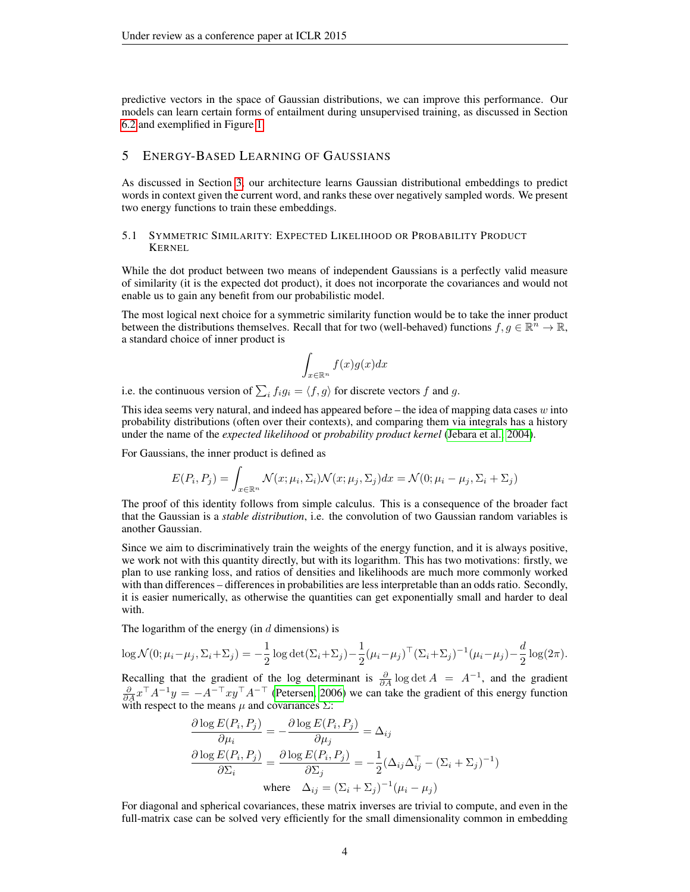predictive vectors in the space of Gaussian distributions, we can improve this performance. Our models can learn certain forms of entailment during unsupervised training, as discussed in Section [6.2](#page-6-0) and exemplified in Figure [1.](#page-1-0)

## 5 ENERGY-BASED LEARNING OF GAUSSIANS

As discussed in Section [3,](#page-1-1) our architecture learns Gaussian distributional embeddings to predict words in context given the current word, and ranks these over negatively sampled words. We present two energy functions to train these embeddings.

#### 5.1 SYMMETRIC SIMILARITY: EXPECTED LIKELIHOOD OR PROBABILITY PRODUCT **KERNEL**

While the dot product between two means of independent Gaussians is a perfectly valid measure of similarity (it is the expected dot product), it does not incorporate the covariances and would not enable us to gain any benefit from our probabilistic model.

The most logical next choice for a symmetric similarity function would be to take the inner product between the distributions themselves. Recall that for two (well-behaved) functions  $f, g \in \mathbb{R}^n \to \mathbb{R}$ , a standard choice of inner product is

$$
\int_{x \in \mathbb{R}^n} f(x)g(x)dx
$$

i.e. the continuous version of  $\sum_i f_i g_i = \langle f, g \rangle$  for discrete vectors f and g.

This idea seems very natural, and indeed has appeared before – the idea of mapping data cases  $w$  into probability distributions (often over their contexts), and comparing them via integrals has a history under the name of the *expected likelihood* or *probability product kernel* [\(Jebara et al., 2004\)](#page-10-14).

For Gaussians, the inner product is defined as

$$
E(P_i, P_j) = \int_{x \in \mathbb{R}^n} \mathcal{N}(x; \mu_i, \Sigma_i) \mathcal{N}(x; \mu_j, \Sigma_j) dx = \mathcal{N}(0; \mu_i - \mu_j, \Sigma_i + \Sigma_j)
$$

The proof of this identity follows from simple calculus. This is a consequence of the broader fact that the Gaussian is a *stable distribution*, i.e. the convolution of two Gaussian random variables is another Gaussian.

Since we aim to discriminatively train the weights of the energy function, and it is always positive, we work not with this quantity directly, but with its logarithm. This has two motivations: firstly, we plan to use ranking loss, and ratios of densities and likelihoods are much more commonly worked with than differences – differences in probabilities are less interpretable than an odds ratio. Secondly, it is easier numerically, as otherwise the quantities can get exponentially small and harder to deal with.

The logarithm of the energy (in  $d$  dimensions) is

$$
\log \mathcal{N}(0; \mu_i - \mu_j, \Sigma_i + \Sigma_j) = -\frac{1}{2} \log \det(\Sigma_i + \Sigma_j) - \frac{1}{2} (\mu_i - \mu_j)^{\top} (\Sigma_i + \Sigma_j)^{-1} (\mu_i - \mu_j) - \frac{d}{2} \log(2\pi).
$$

Recalling that the gradient of the log determinant is  $\frac{\partial}{\partial A} \log \det A = A^{-1}$ , and the gradient  $\frac{\partial}{\partial A} x^{\top} A^{-1} y = -A^{-\top} x y^{\top} A^{-\top}$  [\(Petersen, 2006\)](#page-10-15) we can take the gradient of this energy function with respect to the means  $\mu$  and covariances  $\Sigma$ :

$$
\frac{\partial \log E(P_i, P_j)}{\partial \mu_i} = -\frac{\partial \log E(P_i, P_j)}{\partial \mu_j} = \Delta_{ij}
$$

$$
\frac{\partial \log E(P_i, P_j)}{\partial \Sigma_i} = \frac{\partial \log E(P_i, P_j)}{\partial \Sigma_j} = -\frac{1}{2} (\Delta_{ij} \Delta_{ij}^\top - (\Sigma_i + \Sigma_j)^{-1})
$$
where  $\Delta_{ij} = (\Sigma_i + \Sigma_j)^{-1} (\mu_i - \mu_j)$ 

For diagonal and spherical covariances, these matrix inverses are trivial to compute, and even in the full-matrix case can be solved very efficiently for the small dimensionality common in embedding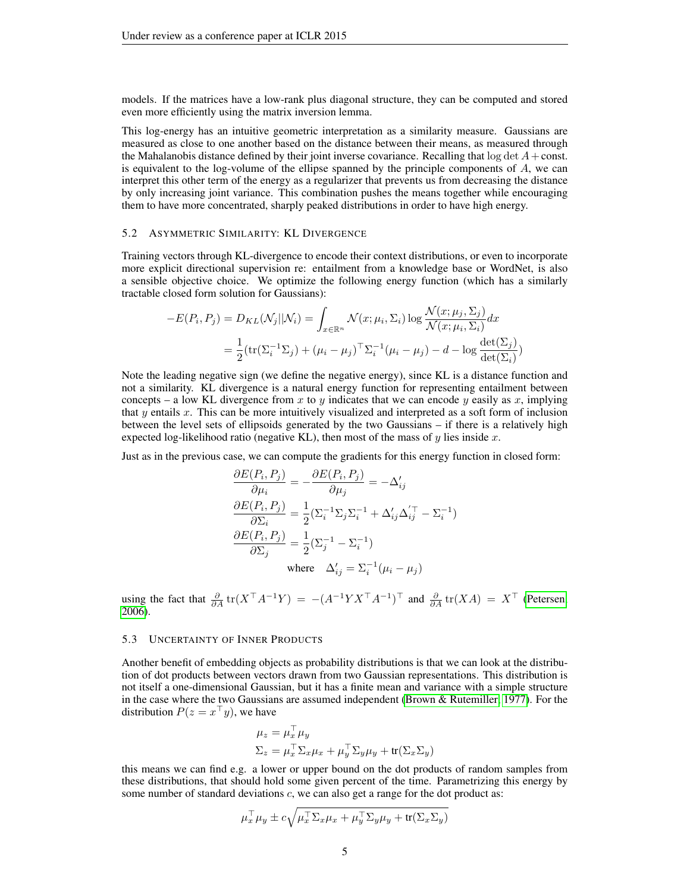models. If the matrices have a low-rank plus diagonal structure, they can be computed and stored even more efficiently using the matrix inversion lemma.

This log-energy has an intuitive geometric interpretation as a similarity measure. Gaussians are measured as close to one another based on the distance between their means, as measured through the Mahalanobis distance defined by their joint inverse covariance. Recalling that  $log \det A + const.$ is equivalent to the log-volume of the ellipse spanned by the principle components of  $A$ , we can interpret this other term of the energy as a regularizer that prevents us from decreasing the distance by only increasing joint variance. This combination pushes the means together while encouraging them to have more concentrated, sharply peaked distributions in order to have high energy.

#### 5.2 ASYMMETRIC SIMILARITY: KL DIVERGENCE

Training vectors through KL-divergence to encode their context distributions, or even to incorporate more explicit directional supervision re: entailment from a knowledge base or WordNet, is also a sensible objective choice. We optimize the following energy function (which has a similarly tractable closed form solution for Gaussians):

$$
-E(P_i, P_j) = D_{KL}(\mathcal{N}_j||\mathcal{N}_i) = \int_{x \in \mathbb{R}^n} \mathcal{N}(x; \mu_i, \Sigma_i) \log \frac{\mathcal{N}(x; \mu_j, \Sigma_j)}{\mathcal{N}(x; \mu_i, \Sigma_i)} dx
$$
  

$$
= \frac{1}{2} (\text{tr}(\Sigma_i^{-1} \Sigma_j) + (\mu_i - \mu_j)^\top \Sigma_i^{-1} (\mu_i - \mu_j) - d - \log \frac{\det(\Sigma_j)}{\det(\Sigma_i)})
$$

Note the leading negative sign (we define the negative energy), since KL is a distance function and not a similarity. KL divergence is a natural energy function for representing entailment between concepts – a low KL divergence from x to y indicates that we can encode y easily as x, implying that y entails  $x$ . This can be more intuitively visualized and interpreted as a soft form of inclusion between the level sets of ellipsoids generated by the two Gaussians – if there is a relatively high expected log-likelihood ratio (negative KL), then most of the mass of  $y$  lies inside  $x$ .

Just as in the previous case, we can compute the gradients for this energy function in closed form:

$$
\frac{\partial E(P_i, P_j)}{\partial \mu_i} = -\frac{\partial E(P_i, P_j)}{\partial \mu_j} = -\Delta'_{ij}
$$

$$
\frac{\partial E(P_i, P_j)}{\partial \Sigma_i} = \frac{1}{2} (\Sigma_i^{-1} \Sigma_j \Sigma_i^{-1} + \Delta'_{ij} \Delta'_{ij} - \Sigma_i^{-1})
$$

$$
\frac{\partial E(P_i, P_j)}{\partial \Sigma_j} = \frac{1}{2} (\Sigma_j^{-1} - \Sigma_i^{-1})
$$
where  $\Delta'_{ij} = \Sigma_i^{-1} (\mu_i - \mu_j)$ 

using the fact that  $\frac{\partial}{\partial A}$  tr $(X^{\top}A^{-1}Y) = -(A^{-1}YX^{\top}A^{-1})^{\top}$  and  $\frac{\partial}{\partial A}$  tr $(XA) = X^{\top}$  [\(Petersen,](#page-10-15) [2006\)](#page-10-15).

#### 5.3 UNCERTAINTY OF INNER PRODUCTS

Another benefit of embedding objects as probability distributions is that we can look at the distribution of dot products between vectors drawn from two Gaussian representations. This distribution is not itself a one-dimensional Gaussian, but it has a finite mean and variance with a simple structure in the case where the two Gaussians are assumed independent [\(Brown & Rutemiller, 1977\)](#page-9-7). For the distribution  $P(z = x^\top y)$ , we have

$$
\mu_z = \mu_x^{\top} \mu_y
$$
  

$$
\Sigma_z = \mu_x^{\top} \Sigma_x \mu_x + \mu_y^{\top} \Sigma_y \mu_y + \text{tr}(\Sigma_x \Sigma_y)
$$

this means we can find e.g. a lower or upper bound on the dot products of random samples from these distributions, that should hold some given percent of the time. Parametrizing this energy by some number of standard deviations  $c$ , we can also get a range for the dot product as:

$$
\mu_x^{\top} \mu_y \pm c \sqrt{\mu_x^{\top} \Sigma_x \mu_x + \mu_y^{\top} \Sigma_y \mu_y + \text{tr}(\Sigma_x \Sigma_y)}
$$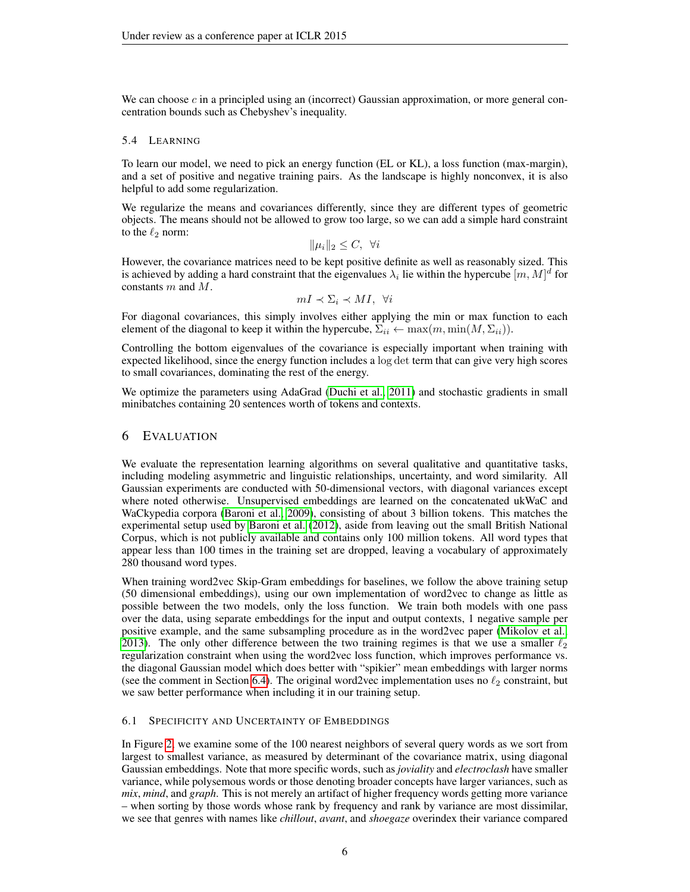We can choose  $c$  in a principled using an (incorrect) Gaussian approximation, or more general concentration bounds such as Chebyshev's inequality.

#### 5.4 LEARNING

To learn our model, we need to pick an energy function (EL or KL), a loss function (max-margin), and a set of positive and negative training pairs. As the landscape is highly nonconvex, it is also helpful to add some regularization.

We regularize the means and covariances differently, since they are different types of geometric objects. The means should not be allowed to grow too large, so we can add a simple hard constraint to the  $\ell_2$  norm:

$$
\|\mu_i\|_2 \le C, \ \forall i
$$

However, the covariance matrices need to be kept positive definite as well as reasonably sized. This is achieved by adding a hard constraint that the eigenvalues  $\lambda_i$  lie within the hypercube  $[m,M]^d$  for constants m and M.

$$
mI \prec \Sigma_i \prec MI, \ \forall i
$$

For diagonal covariances, this simply involves either applying the min or max function to each element of the diagonal to keep it within the hypercube,  $\Sigma_{ii} \leftarrow \max(m, \min(M, \Sigma_{ii}))$ .

Controlling the bottom eigenvalues of the covariance is especially important when training with expected likelihood, since the energy function includes a log det term that can give very high scores to small covariances, dominating the rest of the energy.

We optimize the parameters using AdaGrad [\(Duchi et al., 2011\)](#page-9-8) and stochastic gradients in small minibatches containing 20 sentences worth of tokens and contexts.

#### <span id="page-5-0"></span>6 EVALUATION

We evaluate the representation learning algorithms on several qualitative and quantitative tasks, including modeling asymmetric and linguistic relationships, uncertainty, and word similarity. All Gaussian experiments are conducted with 50-dimensional vectors, with diagonal variances except where noted otherwise. Unsupervised embeddings are learned on the concatenated ukWaC and WaCkypedia corpora [\(Baroni et al., 2009\)](#page-9-9), consisting of about 3 billion tokens. This matches the experimental setup used by [Baroni et al.](#page-9-10) [\(2012\)](#page-9-10), aside from leaving out the small British National Corpus, which is not publicly available and contains only 100 million tokens. All word types that appear less than 100 times in the training set are dropped, leaving a vocabulary of approximately 280 thousand word types.

When training word2vec Skip-Gram embeddings for baselines, we follow the above training setup (50 dimensional embeddings), using our own implementation of word2vec to change as little as possible between the two models, only the loss function. We train both models with one pass over the data, using separate embeddings for the input and output contexts, 1 negative sample per positive example, and the same subsampling procedure as in the word2vec paper [\(Mikolov et al.,](#page-10-3) [2013\)](#page-10-3). The only other difference between the two training regimes is that we use a smaller  $\ell_2$ regularization constraint when using the word2vec loss function, which improves performance vs. the diagonal Gaussian model which does better with "spikier" mean embeddings with larger norms (see the comment in Section [6.4\)](#page-7-0). The original word2vec implementation uses no  $\ell_2$  constraint, but we saw better performance when including it in our training setup.

#### 6.1 SPECIFICITY AND UNCERTAINTY OF EMBEDDINGS

In Figure [2,](#page-6-1) we examine some of the 100 nearest neighbors of several query words as we sort from largest to smallest variance, as measured by determinant of the covariance matrix, using diagonal Gaussian embeddings. Note that more specific words, such as *joviality* and *electroclash* have smaller variance, while polysemous words or those denoting broader concepts have larger variances, such as *mix*, *mind*, and *graph*. This is not merely an artifact of higher frequency words getting more variance – when sorting by those words whose rank by frequency and rank by variance are most dissimilar, we see that genres with names like *chillout*, *avant*, and *shoegaze* overindex their variance compared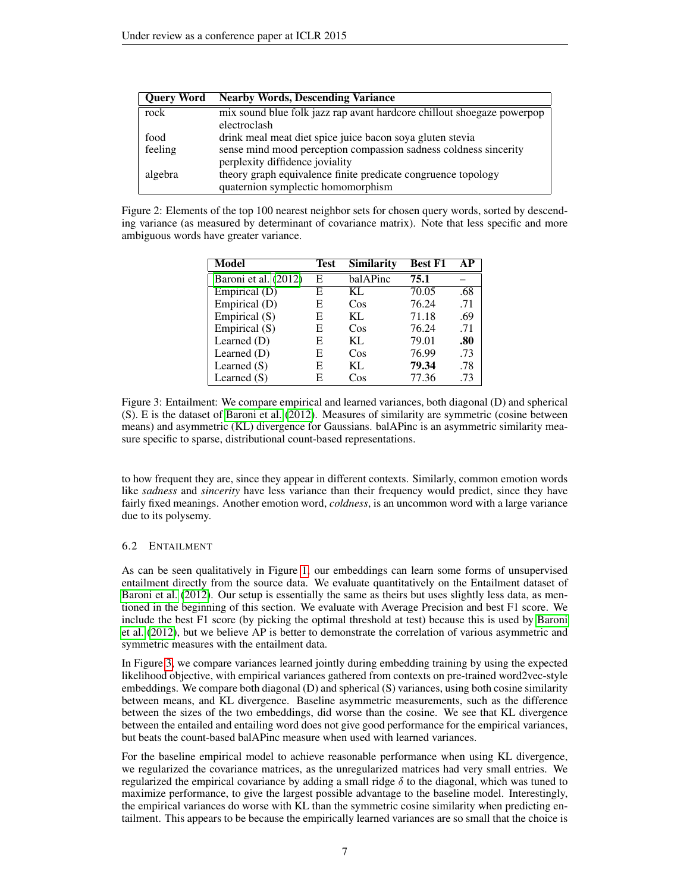<span id="page-6-1"></span>

| <b>Query Word</b> | <b>Nearby Words, Descending Variance</b>                               |
|-------------------|------------------------------------------------------------------------|
| rock              | mix sound blue folk jazz rap avant hardcore chillout shoegaze powerpop |
|                   | electroclash                                                           |
| food              | drink meal meat diet spice juice bacon soya gluten stevia              |
| feeling           | sense mind mood perception compassion sadness coldness sincerity       |
|                   | perplexity diffidence joviality                                        |
| algebra           | theory graph equivalence finite predicate congruence topology          |
|                   | quaternion symplectic homomorphism                                     |

<span id="page-6-2"></span>Figure 2: Elements of the top 100 nearest neighbor sets for chosen query words, sorted by descending variance (as measured by determinant of covariance matrix). Note that less specific and more ambiguous words have greater variance.

| <b>Model</b>           | Test | <b>Similarity</b> | <b>Best F1</b> |     |
|------------------------|------|-------------------|----------------|-----|
| Baroni et al. $(2012)$ | E    | balAPinc          | 75.1           |     |
| Empirical $(D)$        | E    | KL.               | 70.05          | .68 |
| Empirical (D)          | Е    | Cos               | 76.24          | .71 |
| Empirical $(S)$        | E    | KL.               | 71.18          | .69 |
| Empirical $(S)$        | E    | $\cos$            | 76.24          | .71 |
| Learned (D)            | E    | KL.               | 79.01          | .80 |
| Learned (D)            | E    | Cos               | 76.99          | .73 |
| Learned $(S)$          | E    | KL.               | 79.34          | .78 |
| Learned $(S)$          | E    | $\cos$            | 77.36          | .73 |

Figure 3: Entailment: We compare empirical and learned variances, both diagonal (D) and spherical (S). E is the dataset of [Baroni et al.](#page-9-10) [\(2012\)](#page-9-10). Measures of similarity are symmetric (cosine between means) and asymmetric (KL) divergence for Gaussians. balAPinc is an asymmetric similarity measure specific to sparse, distributional count-based representations.

to how frequent they are, since they appear in different contexts. Similarly, common emotion words like *sadness* and *sincerity* have less variance than their frequency would predict, since they have fairly fixed meanings. Another emotion word, *coldness*, is an uncommon word with a large variance due to its polysemy.

## <span id="page-6-0"></span>6.2 ENTAILMENT

As can be seen qualitatively in Figure [1,](#page-1-0) our embeddings can learn some forms of unsupervised entailment directly from the source data. We evaluate quantitatively on the Entailment dataset of [Baroni et al.](#page-9-10) [\(2012\)](#page-9-10). Our setup is essentially the same as theirs but uses slightly less data, as mentioned in the beginning of this section. We evaluate with Average Precision and best F1 score. We include the best F1 score (by picking the optimal threshold at test) because this is used by [Baroni](#page-9-10) [et al.](#page-9-10) [\(2012\)](#page-9-10), but we believe AP is better to demonstrate the correlation of various asymmetric and symmetric measures with the entailment data.

In Figure [3,](#page-6-2) we compare variances learned jointly during embedding training by using the expected likelihood objective, with empirical variances gathered from contexts on pre-trained word2vec-style embeddings. We compare both diagonal (D) and spherical (S) variances, using both cosine similarity between means, and KL divergence. Baseline asymmetric measurements, such as the difference between the sizes of the two embeddings, did worse than the cosine. We see that KL divergence between the entailed and entailing word does not give good performance for the empirical variances, but beats the count-based balAPinc measure when used with learned variances.

For the baseline empirical model to achieve reasonable performance when using KL divergence, we regularized the covariance matrices, as the unregularized matrices had very small entries. We regularized the empirical covariance by adding a small ridge  $\delta$  to the diagonal, which was tuned to maximize performance, to give the largest possible advantage to the baseline model. Interestingly, the empirical variances do worse with KL than the symmetric cosine similarity when predicting entailment. This appears to be because the empirically learned variances are so small that the choice is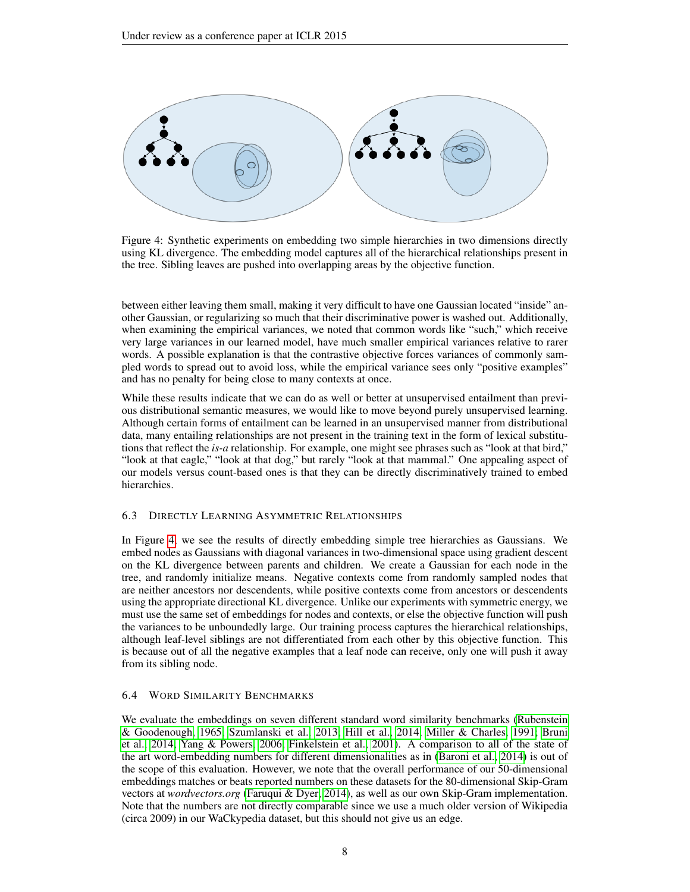<span id="page-7-1"></span>

Figure 4: Synthetic experiments on embedding two simple hierarchies in two dimensions directly using KL divergence. The embedding model captures all of the hierarchical relationships present in the tree. Sibling leaves are pushed into overlapping areas by the objective function.

between either leaving them small, making it very difficult to have one Gaussian located "inside" another Gaussian, or regularizing so much that their discriminative power is washed out. Additionally, when examining the empirical variances, we noted that common words like "such," which receive very large variances in our learned model, have much smaller empirical variances relative to rarer words. A possible explanation is that the contrastive objective forces variances of commonly sampled words to spread out to avoid loss, while the empirical variance sees only "positive examples" and has no penalty for being close to many contexts at once.

While these results indicate that we can do as well or better at unsupervised entailment than previous distributional semantic measures, we would like to move beyond purely unsupervised learning. Although certain forms of entailment can be learned in an unsupervised manner from distributional data, many entailing relationships are not present in the training text in the form of lexical substitutions that reflect the *is-a* relationship. For example, one might see phrases such as "look at that bird," "look at that eagle," "look at that dog," but rarely "look at that mammal." One appealing aspect of our models versus count-based ones is that they can be directly discriminatively trained to embed hierarchies.

## 6.3 DIRECTLY LEARNING ASYMMETRIC RELATIONSHIPS

In Figure [4,](#page-7-1) we see the results of directly embedding simple tree hierarchies as Gaussians. We embed nodes as Gaussians with diagonal variances in two-dimensional space using gradient descent on the KL divergence between parents and children. We create a Gaussian for each node in the tree, and randomly initialize means. Negative contexts come from randomly sampled nodes that are neither ancestors nor descendents, while positive contexts come from ancestors or descendents using the appropriate directional KL divergence. Unlike our experiments with symmetric energy, we must use the same set of embeddings for nodes and contexts, or else the objective function will push the variances to be unboundedly large. Our training process captures the hierarchical relationships, although leaf-level siblings are not differentiated from each other by this objective function. This is because out of all the negative examples that a leaf node can receive, only one will push it away from its sibling node.

## <span id="page-7-0"></span>6.4 WORD SIMILARITY BENCHMARKS

We evaluate the embeddings on seven different standard word similarity benchmarks [\(Rubenstein](#page-10-16) [& Goodenough, 1965;](#page-10-16) [Szumlanski et al., 2013;](#page-11-2) [Hill et al., 2014;](#page-10-17) [Miller & Charles, 1991;](#page-10-18) [Bruni](#page-9-11) [et al., 2014;](#page-9-11) [Yang & Powers, 2006;](#page-11-3) [Finkelstein et al., 2001\)](#page-10-19). A comparison to all of the state of the art word-embedding numbers for different dimensionalities as in [\(Baroni et al., 2014\)](#page-9-12) is out of the scope of this evaluation. However, we note that the overall performance of our 50-dimensional embeddings matches or beats reported numbers on these datasets for the 80-dimensional Skip-Gram vectors at *wordvectors.org* [\(Faruqui & Dyer, 2014\)](#page-9-13), as well as our own Skip-Gram implementation. Note that the numbers are not directly comparable since we use a much older version of Wikipedia (circa 2009) in our WaCkypedia dataset, but this should not give us an edge.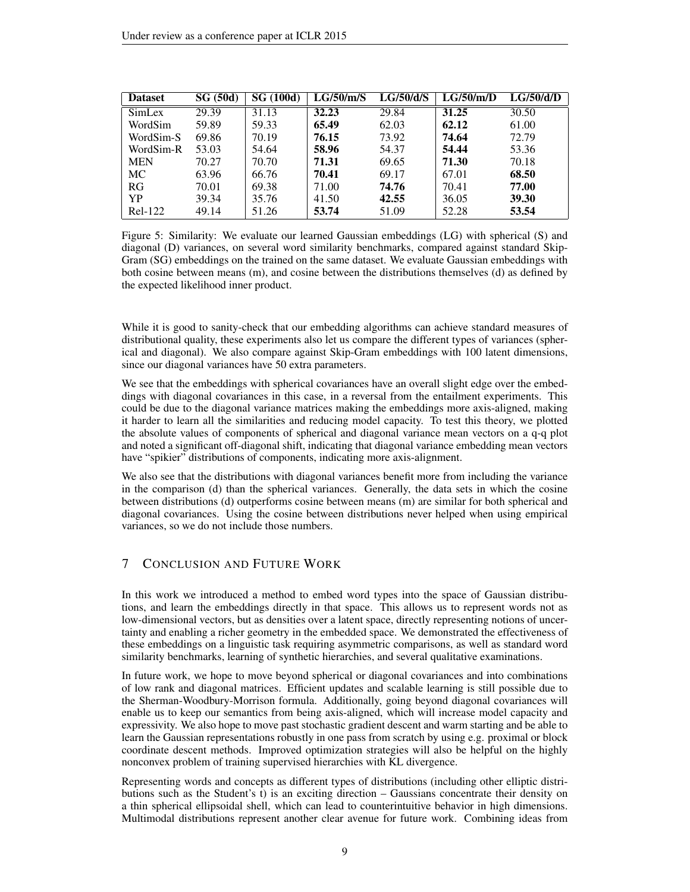| <b>Dataset</b> | SG(50d) | <b>SG</b> (100d) | LG/50/m/S | LG/50/d/S | LG/50/m/D | LG/50/d/D |
|----------------|---------|------------------|-----------|-----------|-----------|-----------|
| SimLex         | 29.39   | 31.13            | 32.23     | 29.84     | 31.25     | 30.50     |
| WordSim        | 59.89   | 59.33            | 65.49     | 62.03     | 62.12     | 61.00     |
| WordSim-S      | 69.86   | 70.19            | 76.15     | 73.92     | 74.64     | 72.79     |
| WordSim-R      | 53.03   | 54.64            | 58.96     | 54.37     | 54.44     | 53.36     |
| <b>MEN</b>     | 70.27   | 70.70            | 71.31     | 69.65     | 71.30     | 70.18     |
| MC.            | 63.96   | 66.76            | 70.41     | 69.17     | 67.01     | 68.50     |
| RG             | 70.01   | 69.38            | 71.00     | 74.76     | 70.41     | 77.00     |
| YP             | 39.34   | 35.76            | 41.50     | 42.55     | 36.05     | 39.30     |
| Rel-122        | 49.14   | 51.26            | 53.74     | 51.09     | 52.28     | 53.54     |

Figure 5: Similarity: We evaluate our learned Gaussian embeddings (LG) with spherical (S) and diagonal (D) variances, on several word similarity benchmarks, compared against standard Skip-Gram (SG) embeddings on the trained on the same dataset. We evaluate Gaussian embeddings with both cosine between means (m), and cosine between the distributions themselves (d) as defined by the expected likelihood inner product.

While it is good to sanity-check that our embedding algorithms can achieve standard measures of distributional quality, these experiments also let us compare the different types of variances (spherical and diagonal). We also compare against Skip-Gram embeddings with 100 latent dimensions, since our diagonal variances have 50 extra parameters.

We see that the embeddings with spherical covariances have an overall slight edge over the embeddings with diagonal covariances in this case, in a reversal from the entailment experiments. This could be due to the diagonal variance matrices making the embeddings more axis-aligned, making it harder to learn all the similarities and reducing model capacity. To test this theory, we plotted the absolute values of components of spherical and diagonal variance mean vectors on a q-q plot and noted a significant off-diagonal shift, indicating that diagonal variance embedding mean vectors have "spikier" distributions of components, indicating more axis-alignment.

We also see that the distributions with diagonal variances benefit more from including the variance in the comparison (d) than the spherical variances. Generally, the data sets in which the cosine between distributions (d) outperforms cosine between means (m) are similar for both spherical and diagonal covariances. Using the cosine between distributions never helped when using empirical variances, so we do not include those numbers.

## 7 CONCLUSION AND FUTURE WORK

In this work we introduced a method to embed word types into the space of Gaussian distributions, and learn the embeddings directly in that space. This allows us to represent words not as low-dimensional vectors, but as densities over a latent space, directly representing notions of uncertainty and enabling a richer geometry in the embedded space. We demonstrated the effectiveness of these embeddings on a linguistic task requiring asymmetric comparisons, as well as standard word similarity benchmarks, learning of synthetic hierarchies, and several qualitative examinations.

In future work, we hope to move beyond spherical or diagonal covariances and into combinations of low rank and diagonal matrices. Efficient updates and scalable learning is still possible due to the Sherman-Woodbury-Morrison formula. Additionally, going beyond diagonal covariances will enable us to keep our semantics from being axis-aligned, which will increase model capacity and expressivity. We also hope to move past stochastic gradient descent and warm starting and be able to learn the Gaussian representations robustly in one pass from scratch by using e.g. proximal or block coordinate descent methods. Improved optimization strategies will also be helpful on the highly nonconvex problem of training supervised hierarchies with KL divergence.

Representing words and concepts as different types of distributions (including other elliptic distributions such as the Student's t) is an exciting direction – Gaussians concentrate their density on a thin spherical ellipsoidal shell, which can lead to counterintuitive behavior in high dimensions. Multimodal distributions represent another clear avenue for future work. Combining ideas from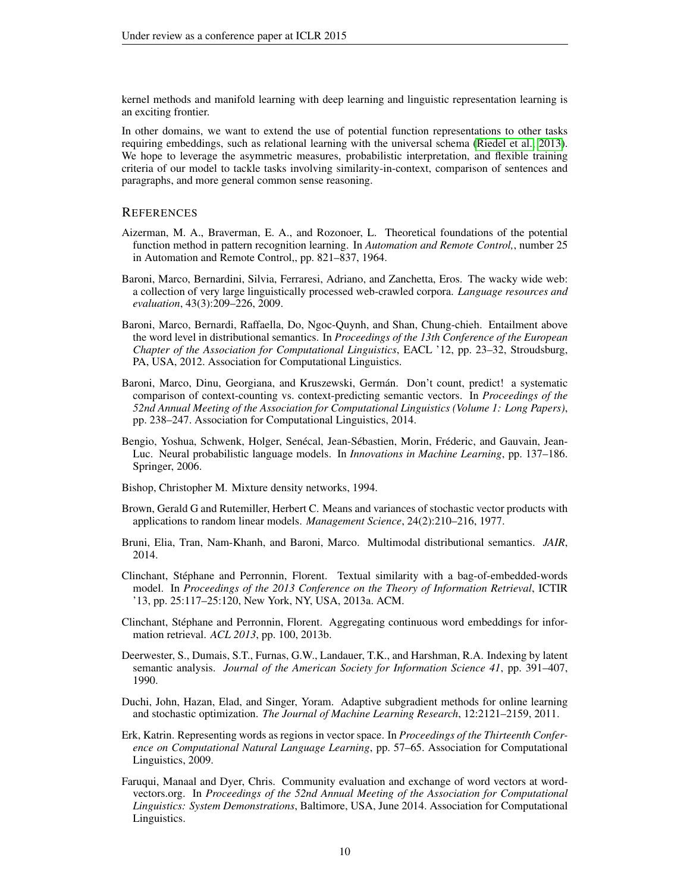kernel methods and manifold learning with deep learning and linguistic representation learning is an exciting frontier.

In other domains, we want to extend the use of potential function representations to other tasks requiring embeddings, such as relational learning with the universal schema [\(Riedel et al., 2013\)](#page-10-1). We hope to leverage the asymmetric measures, probabilistic interpretation, and flexible training criteria of our model to tackle tasks involving similarity-in-context, comparison of sentences and paragraphs, and more general common sense reasoning.

#### **REFERENCES**

- <span id="page-9-1"></span>Aizerman, M. A., Braverman, E. A., and Rozonoer, L. Theoretical foundations of the potential function method in pattern recognition learning. In *Automation and Remote Control,*, number 25 in Automation and Remote Control,, pp. 821–837, 1964.
- <span id="page-9-9"></span>Baroni, Marco, Bernardini, Silvia, Ferraresi, Adriano, and Zanchetta, Eros. The wacky wide web: a collection of very large linguistically processed web-crawled corpora. *Language resources and evaluation*, 43(3):209–226, 2009.
- <span id="page-9-10"></span>Baroni, Marco, Bernardi, Raffaella, Do, Ngoc-Quynh, and Shan, Chung-chieh. Entailment above the word level in distributional semantics. In *Proceedings of the 13th Conference of the European Chapter of the Association for Computational Linguistics*, EACL '12, pp. 23–32, Stroudsburg, PA, USA, 2012. Association for Computational Linguistics.
- <span id="page-9-12"></span>Baroni, Marco, Dinu, Georgiana, and Kruszewski, Germán. Don't count, predict! a systematic comparison of context-counting vs. context-predicting semantic vectors. In *Proceedings of the 52nd Annual Meeting of the Association for Computational Linguistics (Volume 1: Long Papers)*, pp. 238–247. Association for Computational Linguistics, 2014.
- <span id="page-9-0"></span>Bengio, Yoshua, Schwenk, Holger, Senécal, Jean-Sébastien, Morin, Fréderic, and Gauvain, Jean-Luc. Neural probabilistic language models. In *Innovations in Machine Learning*, pp. 137–186. Springer, 2006.
- <span id="page-9-3"></span>Bishop, Christopher M. Mixture density networks, 1994.
- <span id="page-9-7"></span>Brown, Gerald G and Rutemiller, Herbert C. Means and variances of stochastic vector products with applications to random linear models. *Management Science*, 24(2):210–216, 1977.
- <span id="page-9-11"></span>Bruni, Elia, Tran, Nam-Khanh, and Baroni, Marco. Multimodal distributional semantics. *JAIR*, 2014.
- <span id="page-9-5"></span>Clinchant, Stephane and Perronnin, Florent. Textual similarity with a bag-of-embedded-words ´ model. In *Proceedings of the 2013 Conference on the Theory of Information Retrieval*, ICTIR '13, pp. 25:117–25:120, New York, NY, USA, 2013a. ACM.
- <span id="page-9-4"></span>Clinchant, Stephane and Perronnin, Florent. Aggregating continuous word embeddings for infor- ´ mation retrieval. *ACL 2013*, pp. 100, 2013b.
- <span id="page-9-2"></span>Deerwester, S., Dumais, S.T., Furnas, G.W., Landauer, T.K., and Harshman, R.A. Indexing by latent semantic analysis. *Journal of the American Society for Information Science 41*, pp. 391–407, 1990.
- <span id="page-9-8"></span>Duchi, John, Hazan, Elad, and Singer, Yoram. Adaptive subgradient methods for online learning and stochastic optimization. *The Journal of Machine Learning Research*, 12:2121–2159, 2011.
- <span id="page-9-6"></span>Erk, Katrin. Representing words as regions in vector space. In *Proceedings of the Thirteenth Conference on Computational Natural Language Learning*, pp. 57–65. Association for Computational Linguistics, 2009.
- <span id="page-9-13"></span>Faruqui, Manaal and Dyer, Chris. Community evaluation and exchange of word vectors at wordvectors.org. In *Proceedings of the 52nd Annual Meeting of the Association for Computational Linguistics: System Demonstrations*, Baltimore, USA, June 2014. Association for Computational Linguistics.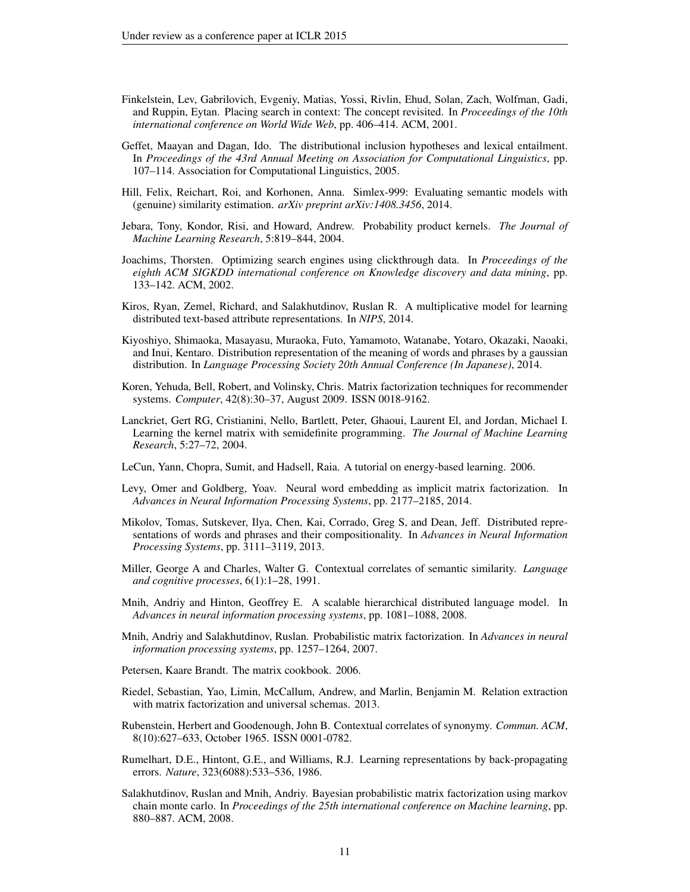- <span id="page-10-19"></span>Finkelstein, Lev, Gabrilovich, Evgeniy, Matias, Yossi, Rivlin, Ehud, Solan, Zach, Wolfman, Gadi, and Ruppin, Eytan. Placing search in context: The concept revisited. In *Proceedings of the 10th international conference on World Wide Web*, pp. 406–414. ACM, 2001.
- <span id="page-10-10"></span>Geffet, Maayan and Dagan, Ido. The distributional inclusion hypotheses and lexical entailment. In *Proceedings of the 43rd Annual Meeting on Association for Computational Linguistics*, pp. 107–114. Association for Computational Linguistics, 2005.
- <span id="page-10-17"></span>Hill, Felix, Reichart, Roi, and Korhonen, Anna. Simlex-999: Evaluating semantic models with (genuine) similarity estimation. *arXiv preprint arXiv:1408.3456*, 2014.
- <span id="page-10-14"></span>Jebara, Tony, Kondor, Risi, and Howard, Andrew. Probability product kernels. *The Journal of Machine Learning Research*, 5:819–844, 2004.
- <span id="page-10-13"></span>Joachims, Thorsten. Optimizing search engines using clickthrough data. In *Proceedings of the eighth ACM SIGKDD international conference on Knowledge discovery and data mining*, pp. 133–142. ACM, 2002.
- <span id="page-10-8"></span>Kiros, Ryan, Zemel, Richard, and Salakhutdinov, Ruslan R. A multiplicative model for learning distributed text-based attribute representations. In *NIPS*, 2014.
- <span id="page-10-9"></span>Kiyoshiyo, Shimaoka, Masayasu, Muraoka, Futo, Yamamoto, Watanabe, Yotaro, Okazaki, Naoaki, and Inui, Kentaro. Distribution representation of the meaning of words and phrases by a gaussian distribution. In *Language Processing Society 20th Annual Conference (In Japanese)*, 2014.
- <span id="page-10-0"></span>Koren, Yehuda, Bell, Robert, and Volinsky, Chris. Matrix factorization techniques for recommender systems. *Computer*, 42(8):30–37, August 2009. ISSN 0018-9162.
- <span id="page-10-7"></span>Lanckriet, Gert RG, Cristianini, Nello, Bartlett, Peter, Ghaoui, Laurent El, and Jordan, Michael I. Learning the kernel matrix with semidefinite programming. *The Journal of Machine Learning Research*, 5:27–72, 2004.
- <span id="page-10-11"></span>LeCun, Yann, Chopra, Sumit, and Hadsell, Raia. A tutorial on energy-based learning. 2006.
- <span id="page-10-6"></span>Levy, Omer and Goldberg, Yoav. Neural word embedding as implicit matrix factorization. In *Advances in Neural Information Processing Systems*, pp. 2177–2185, 2014.
- <span id="page-10-3"></span>Mikolov, Tomas, Sutskever, Ilya, Chen, Kai, Corrado, Greg S, and Dean, Jeff. Distributed representations of words and phrases and their compositionality. In *Advances in Neural Information Processing Systems*, pp. 3111–3119, 2013.
- <span id="page-10-18"></span>Miller, George A and Charles, Walter G. Contextual correlates of semantic similarity. *Language and cognitive processes*, 6(1):1–28, 1991.
- <span id="page-10-2"></span>Mnih, Andriy and Hinton, Geoffrey E. A scalable hierarchical distributed language model. In *Advances in neural information processing systems*, pp. 1081–1088, 2008.
- <span id="page-10-4"></span>Mnih, Andriy and Salakhutdinov, Ruslan. Probabilistic matrix factorization. In *Advances in neural information processing systems*, pp. 1257–1264, 2007.
- <span id="page-10-15"></span>Petersen, Kaare Brandt. The matrix cookbook. 2006.
- <span id="page-10-1"></span>Riedel, Sebastian, Yao, Limin, McCallum, Andrew, and Marlin, Benjamin M. Relation extraction with matrix factorization and universal schemas. 2013.
- <span id="page-10-16"></span>Rubenstein, Herbert and Goodenough, John B. Contextual correlates of synonymy. *Commun. ACM*, 8(10):627–633, October 1965. ISSN 0001-0782.
- <span id="page-10-12"></span>Rumelhart, D.E., Hintont, G.E., and Williams, R.J. Learning representations by back-propagating errors. *Nature*, 323(6088):533–536, 1986.
- <span id="page-10-5"></span>Salakhutdinov, Ruslan and Mnih, Andriy. Bayesian probabilistic matrix factorization using markov chain monte carlo. In *Proceedings of the 25th international conference on Machine learning*, pp. 880–887. ACM, 2008.